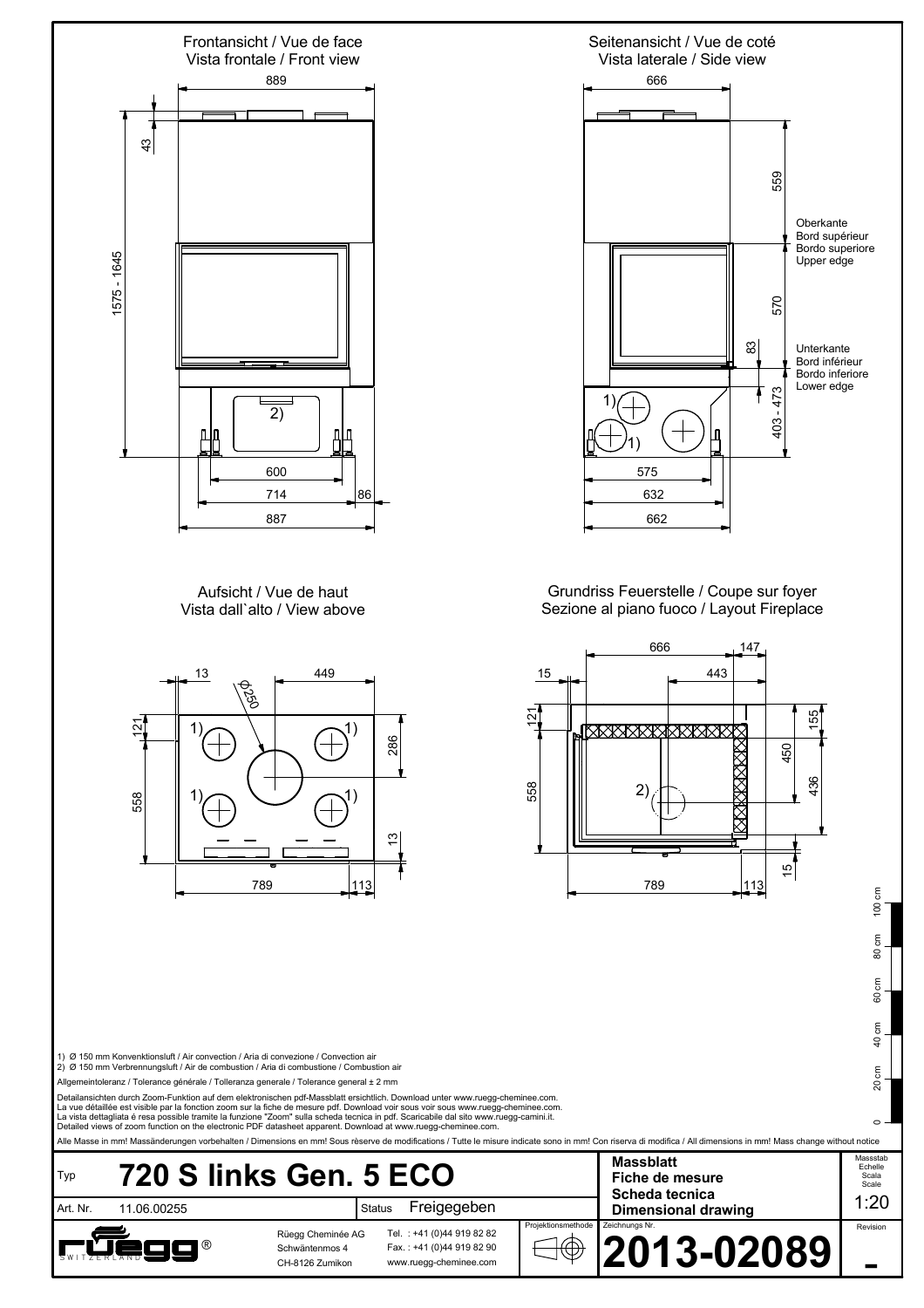